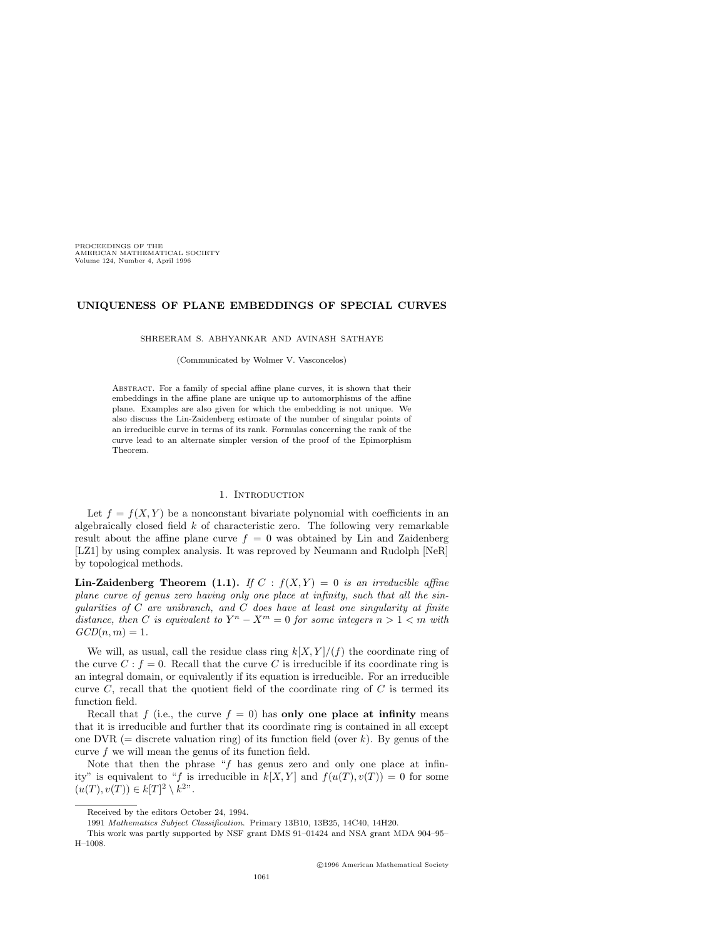PROCEEDINGS OF THE AMERICAN MATHEMATICAL SOCIETY Volume 124, Number 4, April 1996

## **UNIQUENESS OF PLANE EMBEDDINGS OF SPECIAL CURVES**

SHREERAM S. ABHYANKAR AND AVINASH SATHAYE

(Communicated by Wolmer V. Vasconcelos)

Abstract. For a family of special affine plane curves, it is shown that their embeddings in the affine plane are unique up to automorphisms of the affine plane. Examples are also given for which the embedding is not unique. We also discuss the Lin-Zaidenberg estimate of the number of singular points of an irreducible curve in terms of its rank. Formulas concerning the rank of the curve lead to an alternate simpler version of the proof of the Epimorphism Theorem.

#### 1. INTRODUCTION

Let  $f = f(X, Y)$  be a nonconstant bivariate polynomial with coefficients in an algebraically closed field *k* of characteristic zero. The following very remarkable result about the affine plane curve  $f = 0$  was obtained by Lin and Zaidenberg [LZ1] by using complex analysis. It was reproved by Neumann and Rudolph [NeR] by topological methods.

**Lin-Zaidenberg Theorem (1.1).** *If*  $C$  :  $f(X, Y) = 0$  *is an irreducible affine plane curve of genus zero having only one place at infinity, such that all the singularities of C are unibranch, and C does have at least one singularity at finite distance, then C is equivalent to*  $Y^n - X^m = 0$  *for some integers*  $n > 1 < m$  *with*  $GCD(n, m) = 1.$ 

We will, as usual, call the residue class ring  $k[X, Y]/(f)$  the coordinate ring of the curve  $C : f = 0$ . Recall that the curve C is irreducible if its coordinate ring is an integral domain, or equivalently if its equation is irreducible. For an irreducible curve  $C$ , recall that the quotient field of the coordinate ring of  $C$  is termed its function field.

Recall that *f* (i.e., the curve  $f = 0$ ) has **only one place at infinity** means that it is irreducible and further that its coordinate ring is contained in all except one DVR ( $=$  discrete valuation ring) of its function field (over *k*). By genus of the curve  $f$  we will mean the genus of its function field.

Note that then the phrase "*f* has genus zero and only one place at infinity" is equivalent to "*f* is irreducible in  $k[X, Y]$  and  $f(u(T), v(T)) = 0$  for some  $(u(T), v(T)) \in k[T]^2 \setminus k^{2}$ ".

Received by the editors October 24, 1994.

<sup>1991</sup> *Mathematics Subject Classification*. Primary 13B10, 13B25, 14C40, 14H20.

This work was partly supported by NSF grant DMS 91–01424 and NSA grant MDA 904–95– H–1008.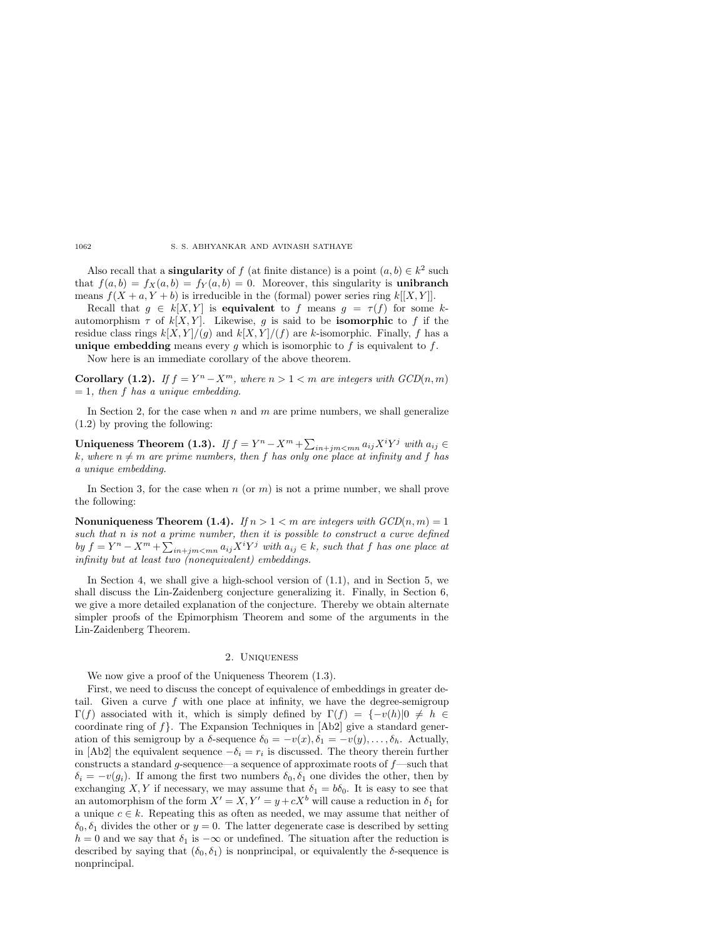Also recall that a **singularity** of *f* (at finite distance) is a point  $(a, b) \in k^2$  such that  $f(a, b) = f_X(a, b) = f_Y(a, b) = 0$ . Moreover, this singularity is **unibranch** means  $f(X + a, Y + b)$  is irreducible in the (formal) power series ring  $k[[X, Y]].$ 

Recall that  $g \in k[X, Y]$  is **equivalent** to f means  $g = \tau(f)$  for some kautomorphism  $\tau$  of  $k[X, Y]$ . Likewise, g is said to be **isomorphic** to f if the residue class rings  $k[X, Y]/(g)$  and  $k[X, Y]/(f)$  are *k*-isomorphic. Finally, *f* has a **unique embedding** means every  $g$  which is isomorphic to  $f$  is equivalent to  $f$ .

Now here is an immediate corollary of the above theorem.

**Corollary (1.2).** *If*  $f = Y^n - X^m$ *, where*  $n > 1 < m$  *are integers with GCD* $(n, m)$ = 1*, then f has a unique embedding.*

In Section 2, for the case when *n* and *m* are prime numbers, we shall generalize (1.2) by proving the following:

**Uniqueness Theorem (1.3).** *If*  $f = Y^n - X^m + \sum_{in+jm < mn} a_{ij} X^i Y^j$  *with*  $a_{ij} \in$  $k$ *, where*  $n \neq m$  *are prime numbers, then f has only one place at infinity and f has a unique embedding.*

In Section 3, for the case when *n* (or *m*) is not a prime number, we shall prove the following:

**Nonuniqueness Theorem (1.4).** *If*  $n > 1 < m$  *are integers with GCD* $(n, m) = 1$ *such that n is not a prime number, then it is possible to construct a curve defined*  $by f = Y^n - X^m + \sum_{in+jm < mn} a_{ij} X^i Y^j$  *with*  $a_{ij} \in k$ *, such that f has one place at infinity but at least two (nonequivalent) embeddings.*

In Section 4, we shall give a high-school version of (1.1), and in Section 5, we shall discuss the Lin-Zaidenberg conjecture generalizing it. Finally, in Section 6, we give a more detailed explanation of the conjecture. Thereby we obtain alternate simpler proofs of the Epimorphism Theorem and some of the arguments in the Lin-Zaidenberg Theorem.

## 2. Uniqueness

We now give a proof of the Uniqueness Theorem (1.3).

First, we need to discuss the concept of equivalence of embeddings in greater detail. Given a curve  $f$  with one place at infinity, we have the degree-semigroup  $\Gamma(f)$  associated with it, which is simply defined by  $\Gamma(f) = \{-v(h)|0 \neq h \in$ coordinate ring of  $f$ . The Expansion Techniques in  $[Ab2]$  give a standard generation of this semigroup by a *δ*-sequence  $\delta_0 = -v(x), \delta_1 = -v(y), \ldots, \delta_h$ . Actually, in [Ab2] the equivalent sequence  $-\delta_i = r_i$  is discussed. The theory therein further constructs a standard *g*-sequence—a sequence of approximate roots of *f*—such that  $\delta_i = -v(g_i)$ . If among the first two numbers  $\delta_0, \delta_1$  one divides the other, then by exchanging *X*, *Y* if necessary, we may assume that  $\delta_1 = b\delta_0$ . It is easy to see that an automorphism of the form  $X' = X, Y' = y + cX^b$  will cause a reduction in  $\delta_1$  for a unique  $c \in k$ . Repeating this as often as needed, we may assume that neither of  $\delta_0$ ,  $\delta_1$  divides the other or  $y = 0$ . The latter degenerate case is described by setting *h* = 0 and we say that  $\delta_1$  is  $-\infty$  or undefined. The situation after the reduction is described by saying that  $(\delta_0, \delta_1)$  is nonprincipal, or equivalently the  $\delta$ -sequence is nonprincipal.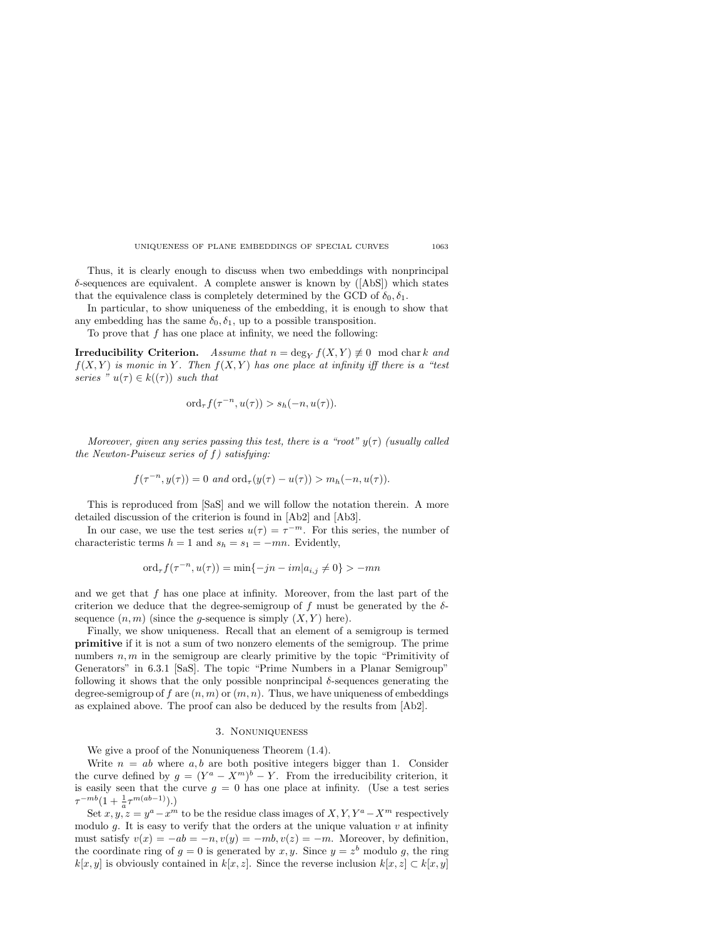Thus, it is clearly enough to discuss when two embeddings with nonprincipal  $\delta$ -sequences are equivalent. A complete answer is known by ( $[{\rm Abs}]$ ) which states that the equivalence class is completely determined by the GCD of  $\delta_0, \delta_1$ .

In particular, to show uniqueness of the embedding, it is enough to show that any embedding has the same  $\delta_0, \delta_1$ , up to a possible transposition.

To prove that *f* has one place at infinity, we need the following:

**Irreducibility Criterion.** *Assume that*  $n = \deg_Y f(X, Y) \neq 0$  mod chark and  $f(X, Y)$  *is monic in Y*. Then  $f(X, Y)$  has one place at infinity iff there is a "test *series*  $^{"}u(\tau) \in k((\tau))$  *such that* 

$$
\mathrm{ord}_{\tau}f(\tau^{-n}, u(\tau)) > s_h(-n, u(\tau)).
$$

*Moreover, given any series passing this test, there is a "root"*  $y(\tau)$  *(usually called the Newton-Puiseux series of f) satisfying:*

$$
f(\tau^{-n}, y(\tau)) = 0
$$
 and  $\text{ord}_{\tau}(y(\tau) - u(\tau)) > m_h(-n, u(\tau)).$ 

This is reproduced from [SaS] and we will follow the notation therein. A more detailed discussion of the criterion is found in [Ab2] and [Ab3].

In our case, we use the test series  $u(\tau) = \tau^{-m}$ . For this series, the number of characteristic terms  $h = 1$  and  $s_h = s_1 = -mn$ . Evidently,

$$
ord_{\tau} f(\tau^{-n}, u(\tau)) = \min\{-jn - im|a_{i,j} \neq 0\} > -mn
$$

and we get that *f* has one place at infinity. Moreover, from the last part of the criterion we deduce that the degree-semigroup of  $f$  must be generated by the  $\delta$ sequence  $(n, m)$  (since the *g*-sequence is simply  $(X, Y)$  here).

Finally, we show uniqueness. Recall that an element of a semigroup is termed **primitive** if it is not a sum of two nonzero elements of the semigroup. The prime numbers  $n, m$  in the semigroup are clearly primitive by the topic "Primitivity of Generators" in 6.3.1 [SaS]. The topic "Prime Numbers in a Planar Semigroup" following it shows that the only possible nonprincipal *δ*-sequences generating the degree-semigroup of  $f$  are  $(n, m)$  or  $(m, n)$ . Thus, we have uniqueness of embeddings as explained above. The proof can also be deduced by the results from [Ab2].

# 3. Nonuniqueness

We give a proof of the Nonuniqueness Theorem (1.4).

Write  $n = ab$  where  $a, b$  are both positive integers bigger than 1. Consider the curve defined by  $g = (Y^a - X^m)^b - Y$ . From the irreducibility criterion, it is easily seen that the curve  $g = 0$  has one place at infinity. (Use a test series  $\tau^{-mb}(1+\frac{1}{a}\tau^{m(ab-1)}).$ 

Set  $x, y, z = y^a - x^m$  to be the residue class images of  $X, Y, Y^a - X^m$  respectively modulo  $g$ . It is easy to verify that the orders at the unique valuation  $v$  at infinity must satisfy  $v(x) = -ab = -n$ ,  $v(y) = -mb$ ,  $v(z) = -m$ . Moreover, by definition, the coordinate ring of  $g = 0$  is generated by  $x, y$ . Since  $y = z^b$  modulo g, the ring *k*[*x, y*] is obviously contained in *k*[*x, z*]. Since the reverse inclusion  $k[x, z]$  ⊂  $k[x, y]$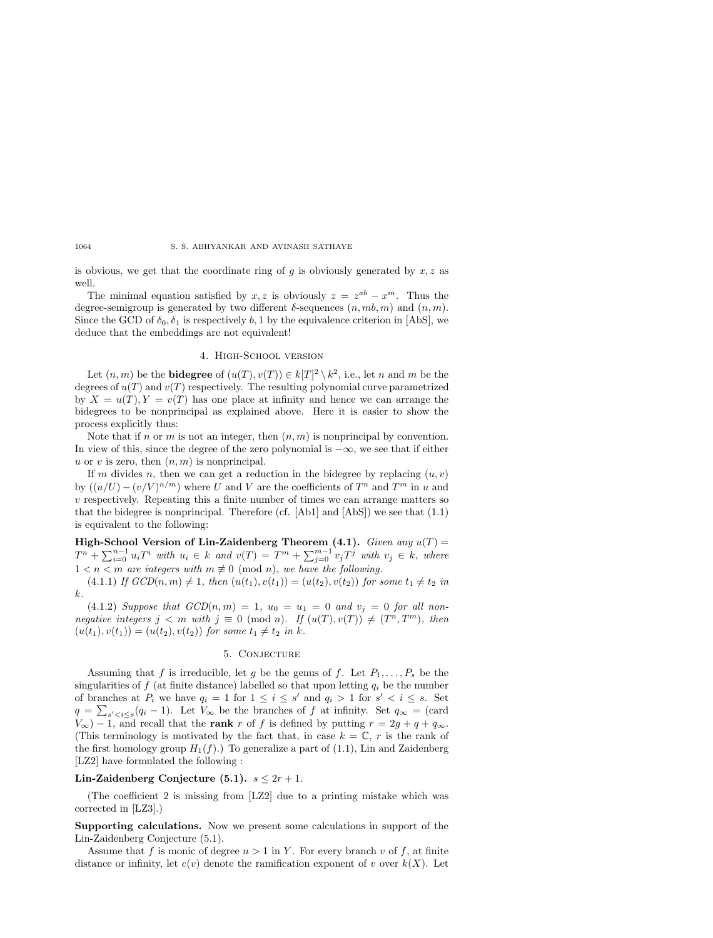is obvious, we get that the coordinate ring of *g* is obviously generated by *x, z* as well.

The minimal equation satisfied by *x*, *z* is obviously  $z = z^{ab} - x^m$ . Thus the degree-semigroup is generated by two different  $\delta$ -sequences  $(n, mb, m)$  and  $(n, m)$ . Since the GCD of  $\delta_0$ ,  $\delta_1$  is respectively *b*, 1 by the equivalence criterion in [AbS], we deduce that the embeddings are not equivalent!

## 4. High-School version

Let  $(n, m)$  be the **bidegree** of  $(u(T), v(T)) \in k[T]^2 \setminus k^2$ , i.e., let *n* and *m* be the degrees of  $u(T)$  and  $v(T)$  respectively. The resulting polynomial curve parametrized by  $X = u(T)$ ,  $Y = v(T)$  has one place at infinity and hence we can arrange the bidegrees to be nonprincipal as explained above. Here it is easier to show the process explicitly thus:

Note that if *n* or *m* is not an integer, then (*n, m*) is nonprincipal by convention. In view of this, since the degree of the zero polynomial is  $-\infty$ , we see that if either *u* or *v* is zero, then (*n, m*) is nonprincipal.

If *m* divides *n*, then we can get a reduction in the bidegree by replacing  $(u, v)$ by  $((u/U) - (v/V)^{n/m})$  where *U* and *V* are the coefficients of  $T^n$  and  $T^m$  in *u* and *v* respectively. Repeating this a finite number of times we can arrange matters so that the bidegree is nonprincipal. Therefore (cf.  $[Ab1]$  and  $[Ab5]$ ) we see that  $(1.1)$ is equivalent to the following:

**High-School Version of Lin-Zaidenberg Theorem (4.1).** *Given any*  $u(T)$  =  $T^{n} + \sum_{i=0}^{n-1} u_{i}T^{i}$  *with*  $u_{i} \in k$  *and*  $v(T) = T^{m} + \sum_{j=0}^{m-1} v_{j}T^{j}$  *with*  $v_{j} \in k$ *, where*  $1 < n < m$  are integers with  $m \not\equiv 0 \pmod{n}$ , we have the following.

 $(4.1.1)$  *If*  $GCD(n,m) \neq 1$ *, then*  $(u(t_1), v(t_1)) = (u(t_2), v(t_2))$  for some  $t_1 \neq t_2$  in *k.*

 $(4.1.2) \text{ Suppose that } GCD(n,m) = 1, u_0 = u_1 = 0 \text{ and } v_j = 0 \text{ for all non$ *negative integers*  $j < m$  *with*  $j \equiv 0 \pmod{n}$ *. If*  $(u(T), v(T)) \neq (T^n, T^m)$ *, then*  $(u(t_1), v(t_1)) = (u(t_2), v(t_2))$  *for some*  $t_1 \neq t_2$  *in k.* 

# 5. Conjecture

Assuming that *f* is irreducible, let *g* be the genus of *f*. Let  $P_1, \ldots, P_s$  be the singularities of  $f$  (at finite distance) labelled so that upon letting  $q_i$  be the number of branches at  $P_i$  we have  $q_i = 1$  for  $1 \leq i \leq s'$  and  $q_i > 1$  for  $s' < i \leq s$ . Set  $q = \sum_{s' < i \leq s} (q_i - 1)$ . Let  $V_\infty$  be the branches of *f* at infinity. Set  $q_\infty = (card$ *V*∞) − 1, and recall that the **rank** *r* of *f* is defined by putting  $r = 2g + q + q_{\infty}$ . (This terminology is motivated by the fact that, in case  $k = \mathbb{C}$ , r is the rank of the first homology group  $H_1(f)$ .) To generalize a part of  $(1.1)$ , Lin and Zaidenberg [LZ2] have formulated the following :

# **Lin-Zaidenberg Conjecture (5.1).**  $s \leq 2r + 1$ .

(The coefficient 2 is missing from [LZ2] due to a printing mistake which was corrected in [LZ3].)

**Supporting calculations.** Now we present some calculations in support of the Lin-Zaidenberg Conjecture (5.1).

Assume that *f* is monic of degree  $n > 1$  in *Y*. For every branch *v* of *f*, at finite distance or infinity, let  $e(v)$  denote the ramification exponent of *v* over  $k(X)$ . Let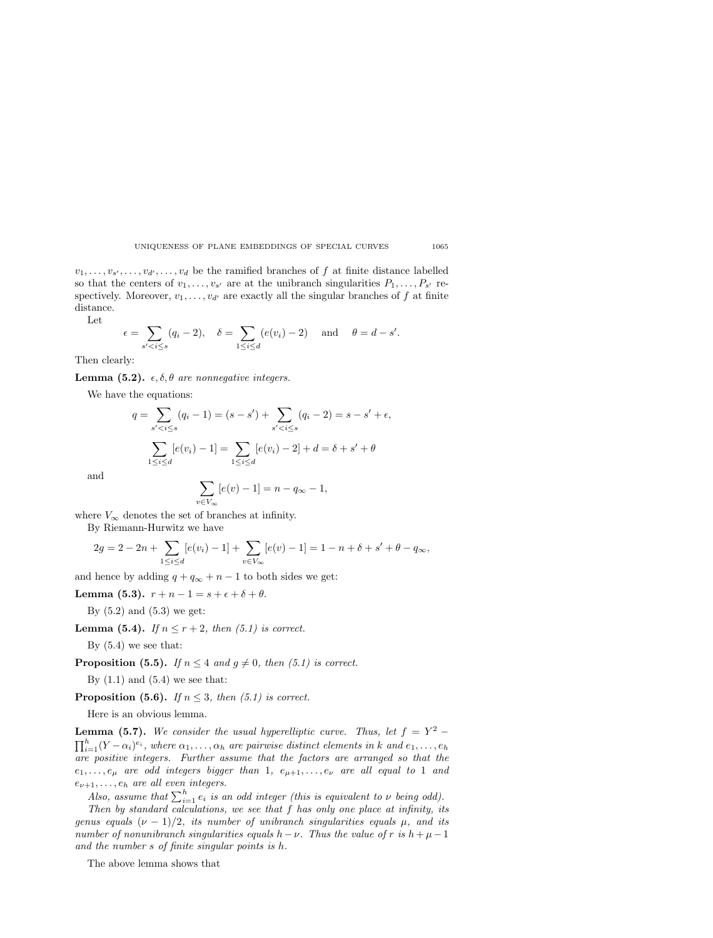$v_1, \ldots, v_{s'}, \ldots, v_{d'}, \ldots, v_d$  be the ramified branches of *f* at finite distance labelled so that the centers of  $v_1, \ldots, v_{s'}$  are at the unibranch singularities  $P_1, \ldots, P_{s'}$  respectively. Moreover,  $v_1, \ldots, v_{d'}$  are exactly all the singular branches of f at finite distance.

Let

$$
\epsilon = \sum_{s' < i \le s} (q_i - 2), \quad \delta = \sum_{1 \le i \le d} (e(v_i) - 2) \quad \text{and} \quad \theta = d - s'.
$$

Then clearly:

**Lemma (5.2).**  $\epsilon, \delta, \theta$  *are nonnegative integers.* 

We have the equations:

$$
q = \sum_{s' < i \le s} (q_i - 1) = (s - s') + \sum_{s' < i \le s} (q_i - 2) = s - s' + \epsilon,
$$
\n
$$
\sum_{1 \le i \le d} [e(v_i) - 1] = \sum_{1 \le i \le d} [e(v_i) - 2] + d = \delta + s' + \theta
$$

and

$$
\sum_{v \in V_{\infty}} [e(v) - 1] = n - q_{\infty} - 1,
$$

where  $V_{\infty}$  denotes the set of branches at infinity.

By Riemann-Hurwitz we have

$$
2g = 2 - 2n + \sum_{1 \leq i \leq d} [e(v_i) - 1] + \sum_{v \in V_{\infty}} [e(v) - 1] = 1 - n + \delta + s' + \theta - q_{\infty},
$$

and hence by adding  $q + q_\infty + n - 1$  to both sides we get:

**Lemma (5.3).**  $r + n - 1 = s + \epsilon + \delta + \theta$ .

By  $(5.2)$  and  $(5.3)$  we get:

**Lemma (5.4).** *If*  $n \leq r + 2$ *, then (5.1) is correct.* 

By  $(5.4)$  we see that:

**Proposition (5.5).** *If*  $n \leq 4$  *and*  $g \neq 0$ *, then (5.1) is correct.* 

By  $(1.1)$  and  $(5.4)$  we see that:

**Proposition (5.6).** *If*  $n \leq 3$ *, then (5.1) is correct.* 

Here is an obvious lemma.

**Lemma (5.7).** *We consider the usual hyperelliptic curve. Thus, let*  $f = Y^2 \prod_{i=1}^{h} (Y - \alpha_i)^{e_i}$ , where  $\alpha_1, \ldots, \alpha_h$  are pairwise distinct elements in *k* and  $e_1, \ldots, e_h$ *are positive integers. Further assume that the factors are arranged so that the*  $e_1, \ldots, e_\mu$  *are odd integers bigger than* 1*,*  $e_{\mu+1}, \ldots, e_{\nu}$  *are all equal to* 1 *and e*<sup>ν</sup>+1*,...,e*<sup>h</sup> *are all even integers.*

*Also, assume that*  $\sum_{i=1}^{h} e_i$  *is an odd integer (this is equivalent to*  $\nu$  *being odd).* 

*Then by standard calculations, we see that f has only one place at infinity, its genus equals*  $(\nu - 1)/2$ *, its number of unibranch singularities equals*  $\mu$ *, and its number of nonunibranch singularities equals*  $h - \nu$ . Thus the value of  $r$  is  $h + \mu - 1$ *and the number s of finite singular points is h.*

The above lemma shows that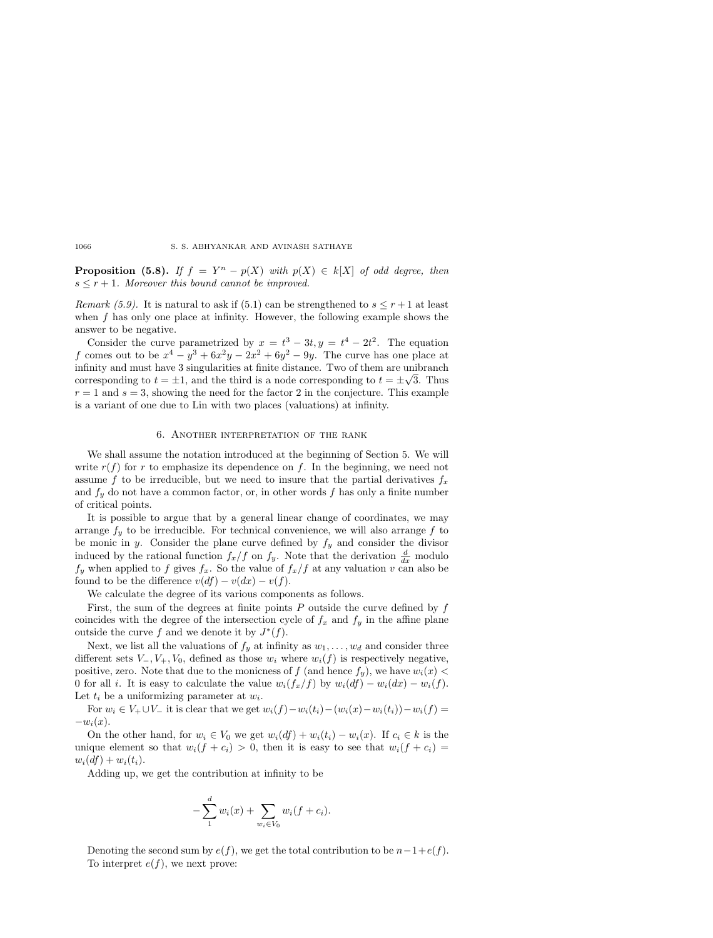**Proposition (5.8).** *If*  $f = Y^n - p(X)$  *with*  $p(X) \in k[X]$  *of odd degree, then*  $s \leq r+1$ *. Moreover this bound cannot be improved.* 

*Remark (5.9).* It is natural to ask if (5.1) can be strengthened to  $s \leq r+1$  at least when *f* has only one place at infinity. However, the following example shows the answer to be negative.

Consider the curve parametrized by  $x = t^3 - 3t, y = t^4 - 2t^2$ . The equation *f* comes out to be  $x^4 - y^3 + 6x^2y - 2x^2 + 6y^2 - 9y$ . The curve has one place at infinity and must have 3 singularities at finite distance. Two of them are unibranch minity and must nave 3 singularities at finite distance. Two of them are uniformed<br>corresponding to  $t = \pm 1$ , and the third is a node corresponding to  $t = \pm \sqrt{3}$ . Thus  $r = 1$  and  $s = 3$ , showing the need for the factor 2 in the conjecture. This example is a variant of one due to Lin with two places (valuations) at infinity.

#### 6. Another interpretation of the rank

We shall assume the notation introduced at the beginning of Section 5. We will write  $r(f)$  for  $r$  to emphasize its dependence on  $f$ . In the beginning, we need not assume f to be irreducible, but we need to insure that the partial derivatives  $f_x$ and  $f_y$  do not have a common factor, or, in other words  $f$  has only a finite number of critical points.

It is possible to argue that by a general linear change of coordinates, we may arrange  $f_y$  to be irreducible. For technical convenience, we will also arrange  $f$  to be monic in *y*. Consider the plane curve defined by  $f_y$  and consider the divisor induced by the rational function  $f_x/f$  on  $f_y$ . Note that the derivation  $\frac{d}{dx}$  modulo  $f_y$  when applied to f gives  $f_x$ . So the value of  $f_x/f$  at any valuation *v* can also be found to be the difference  $v(df) - v(dx) - v(f)$ .

We calculate the degree of its various components as follows.

First, the sum of the degrees at finite points *P* outside the curve defined by *f* coincides with the degree of the intersection cycle of  $f_x$  and  $f_y$  in the affine plane outside the curve  $f$  and we denote it by  $J^*(f)$ .

Next, we list all the valuations of  $f_y$  at infinity as  $w_1, \ldots, w_d$  and consider three different sets  $V_-, V_+, V_0$ , defined as those  $w_i$  where  $w_i(f)$  is respectively negative, positive, zero. Note that due to the monicness of  $f$  (and hence  $f_y$ ), we have  $w_i(x)$ 0 for all *i*. It is easy to calculate the value  $w_i(f_x/f)$  by  $w_i(df) - w_i(dx) - w_i(f)$ . Let  $t_i$  be a uniformizing parameter at  $w_i$ .

For  $w_i \in V_+ \cup V_-$  it is clear that we get  $w_i(f) - w_i(t_i) - (w_i(x) - w_i(t_i)) - w_i(f) =$  $-w_i(x)$ .

On the other hand, for  $w_i \in V_0$  we get  $w_i(df) + w_i(t_i) - w_i(x)$ . If  $c_i \in k$  is the unique element so that  $w_i(f + c_i) > 0$ , then it is easy to see that  $w_i(f + c_i) =$  $w_i(df) + w_i(t_i).$ 

Adding up, we get the contribution at infinity to be

$$
-\sum_{1}^{d} w_i(x) + \sum_{w_i \in V_0} w_i(f + c_i).
$$

Denoting the second sum by  $e(f)$ , we get the total contribution to be  $n-1+e(f)$ . To interpret  $e(f)$ , we next prove: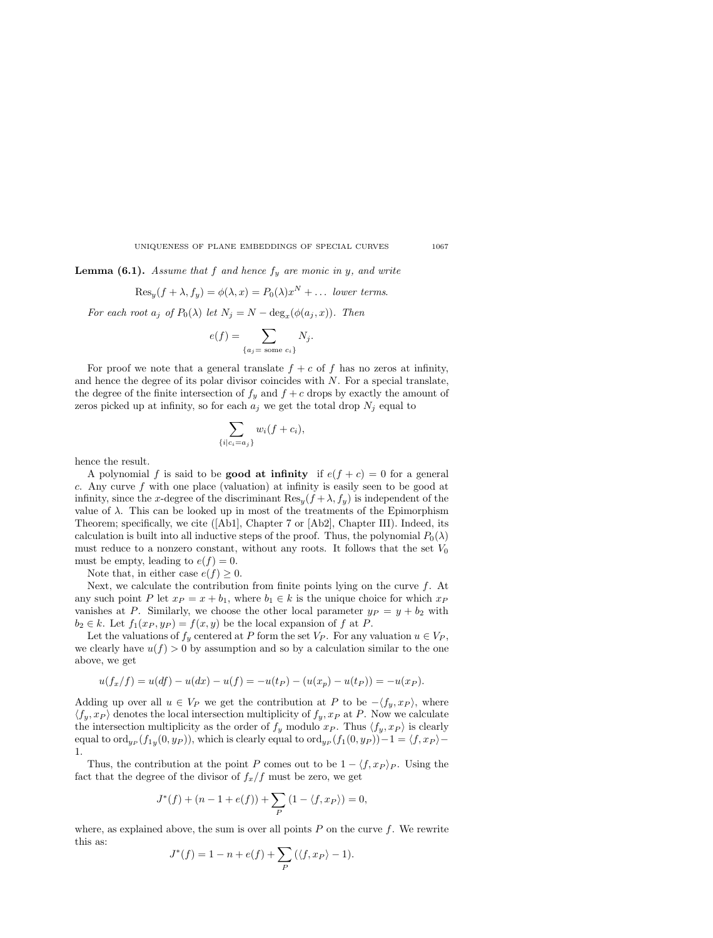**Lemma (6.1).** *Assume that f and hence f*<sup>y</sup> *are monic in y, and write*

$$
\text{Res}_y(f + \lambda, f_y) = \phi(\lambda, x) = P_0(\lambda) x^N + \dots \text{ lower terms.}
$$

*For each root*  $a_j$  *of*  $P_0(\lambda)$  *let*  $N_j = N - \deg_x(\phi(a_j, x))$ *. Then* 

$$
e(f) = \sum_{\{a_j = \text{ some } c_i\}} N_j.
$$

For proof we note that a general translate  $f + c$  of  $f$  has no zeros at infinity, and hence the degree of its polar divisor coincides with *N*. For a special translate, the degree of the finite intersection of  $f_y$  and  $f + c$  drops by exactly the amount of zeros picked up at infinity, so for each  $a_j$  we get the total drop  $N_j$  equal to

$$
\sum_{\{i|c_i=a_j\}} w_i(f+c_i),
$$

hence the result.

A polynomial *f* is said to be **good at infinity** if  $e(f + c) = 0$  for a general *c*. Any curve *f* with one place (valuation) at infinity is easily seen to be good at infinity, since the *x*-degree of the discriminant  $\text{Res}_y(f + \lambda, f_y)$  is independent of the value of  $\lambda$ . This can be looked up in most of the treatments of the Epimorphism Theorem; specifically, we cite ([Ab1], Chapter 7 or [Ab2], Chapter III). Indeed, its calculation is built into all inductive steps of the proof. Thus, the polynomial  $P_0(\lambda)$ must reduce to a nonzero constant, without any roots. It follows that the set  $V_0$ must be empty, leading to  $e(f) = 0$ .

Note that, in either case  $e(f) \geq 0$ .

Next, we calculate the contribution from finite points lying on the curve *f*. At any such point *P* let  $x_P = x + b_1$ , where  $b_1 \in k$  is the unique choice for which  $x_P$ vanishes at *P*. Similarly, we choose the other local parameter  $y_P = y + b_2$  with  $b_2 \in k$ . Let  $f_1(x_P, y_P) = f(x, y)$  be the local expansion of  $f$  at  $P$ .

Let the valuations of  $f_y$  centered at *P* form the set  $V_P$ . For any valuation  $u \in V_P$ , we clearly have  $u(f) > 0$  by assumption and so by a calculation similar to the one above, we get

$$
u(f_x/f) = u(df) - u(dx) - u(f) = -u(t_P) - (u(x_P) - u(t_P)) = -u(x_P).
$$

Adding up over all  $u \in V_P$  we get the contribution at P to be  $-\langle f_y, x_P \rangle$ , where  $\langle f_y, x_P \rangle$  denotes the local intersection multiplicity of  $f_y, x_P$  at *P*. Now we calculate the intersection multiplicity as the order of  $f_y$  modulo  $x_P$ . Thus  $\langle f_y, x_P \rangle$  is clearly equal to ord<sub>yP</sub>  $(f_{1y}(0, y_P))$ , which is clearly equal to ord<sub>yP</sub>  $(f_1(0, y_P)) - 1 = \langle f, x_P \rangle$ 1.

Thus, the contribution at the point *P* comes out to be  $1 - \langle f, x_P \rangle_P$ . Using the fact that the degree of the divisor of  $f_x/f$  must be zero, we get

$$
J^*(f) + (n - 1 + e(f)) + \sum_P (1 - \langle f, x_P \rangle) = 0,
$$

where, as explained above, the sum is over all points  $P$  on the curve  $f$ . We rewrite this as:

$$
J^*(f) = 1 - n + e(f) + \sum_P (\langle f, x_P \rangle - 1).
$$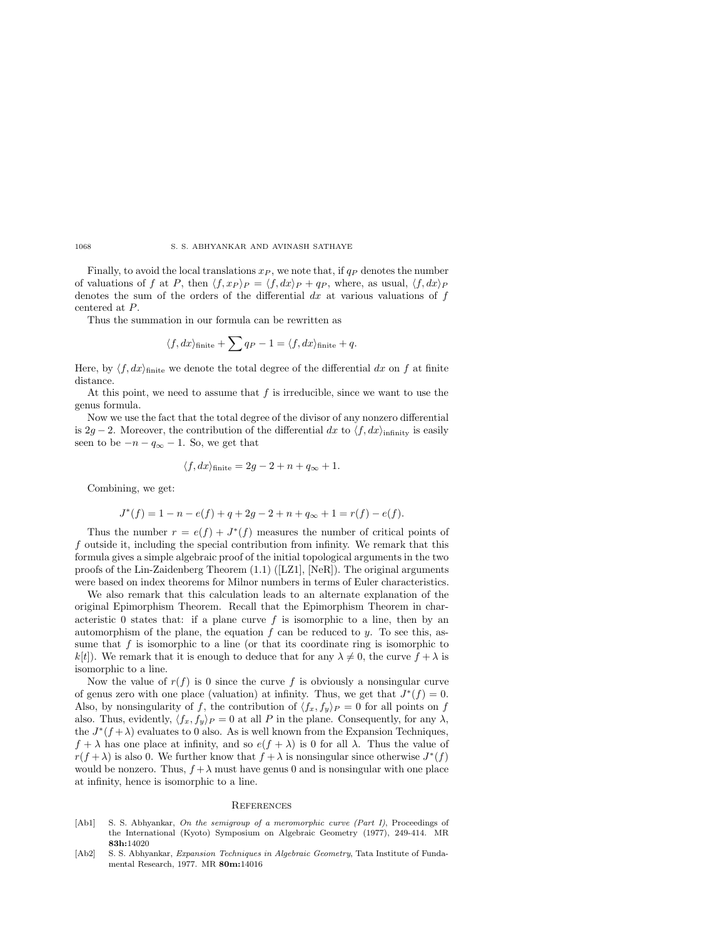Finally, to avoid the local translations  $x_P$ , we note that, if  $q_P$  denotes the number of valuations of f at P, then  $\langle f, x_P \rangle_P = \langle f, dx \rangle_P + q_P$ , where, as usual,  $\langle f, dx \rangle_P$ denotes the sum of the orders of the differential *dx* at various valuations of *f* centered at *P*.

Thus the summation in our formula can be rewritten as

$$
\langle f, dx \rangle_{\text{finite}} + \sum q_P - 1 = \langle f, dx \rangle_{\text{finite}} + q.
$$

Here, by  $\langle f, dx \rangle$ <sub>finite</sub> we denote the total degree of the differential dx on f at finite distance.

At this point, we need to assume that *f* is irreducible, since we want to use the genus formula.

Now we use the fact that the total degree of the divisor of any nonzero differential is 2*g* − 2. Moreover, the contribution of the differential *dx* to  $\langle f, dx \rangle$ <sub>infinity</sub> is easily seen to be  $-n - q_{\infty} - 1$ . So, we get that

$$
\langle f, dx \rangle_{\text{finite}} = 2g - 2 + n + q_{\infty} + 1.
$$

Combining, we get:

$$
J^*(f) = 1 - n - e(f) + q + 2g - 2 + n + q_\infty + 1 = r(f) - e(f).
$$

Thus the number  $r = e(f) + J^*(f)$  measures the number of critical points of *f* outside it, including the special contribution from infinity. We remark that this formula gives a simple algebraic proof of the initial topological arguments in the two proofs of the Lin-Zaidenberg Theorem (1.1) ([LZ1], [NeR]). The original arguments were based on index theorems for Milnor numbers in terms of Euler characteristics.

We also remark that this calculation leads to an alternate explanation of the original Epimorphism Theorem. Recall that the Epimorphism Theorem in characteristic 0 states that: if a plane curve  $f$  is isomorphic to a line, then by an automorphism of the plane, the equation *f* can be reduced to *y*. To see this, assume that *f* is isomorphic to a line (or that its coordinate ring is isomorphic to *k*[*t*]). We remark that it is enough to deduce that for any  $\lambda \neq 0$ , the curve  $f + \lambda$  is isomorphic to a line.

Now the value of  $r(f)$  is 0 since the curve f is obviously a nonsingular curve of genus zero with one place (valuation) at infinity. Thus, we get that  $J^*(f) = 0$ . Also, by nonsingularity of *f*, the contribution of  $\langle f_x, f_y \rangle_P = 0$  for all points on *f* also. Thus, evidently,  $\langle f_x, f_y \rangle_P = 0$  at all *P* in the plane. Consequently, for any  $\lambda$ , the  $J^*(f + \lambda)$  evaluates to 0 also. As is well known from the Expansion Techniques,  $f + \lambda$  has one place at infinity, and so  $e(f + \lambda)$  is 0 for all  $\lambda$ . Thus the value of  $r(f + \lambda)$  is also 0. We further know that  $f + \lambda$  is nonsingular since otherwise  $J^*(f)$ would be nonzero. Thus,  $f + \lambda$  must have genus 0 and is nonsingular with one place at infinity, hence is isomorphic to a line.

#### **REFERENCES**

- [Ab1] S. S. Abhyankar, *On the semigroup of a meromorphic curve (Part I)*, Proceedings of the International (Kyoto) Symposium on Algebraic Geometry (1977), 249-414. MR **83h:**14020
- [Ab2] S. S. Abhyankar, *Expansion Techniques in Algebraic Geometry*, Tata Institute of Fundamental Research, 1977. MR **80m:**14016